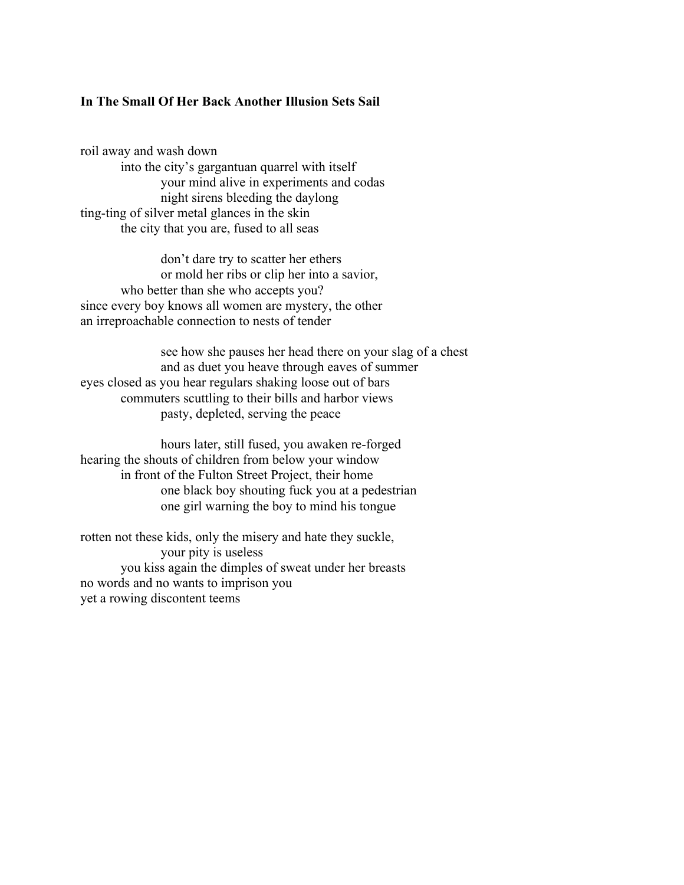## **In The Small Of Her Back Another Illusion Sets Sail**

roil away and wash down into the city's gargantuan quarrel with itself your mind alive in experiments and codas night sirens bleeding the daylong ting-ting of silver metal glances in the skin the city that you are, fused to all seas

don't dare try to scatter her ethers or mold her ribs or clip her into a savior, who better than she who accepts you? since every boy knows all women are mystery, the other an irreproachable connection to nests of tender

see how she pauses her head there on your slag of a chest and as duet you heave through eaves of summer eyes closed as you hear regulars shaking loose out of bars commuters scuttling to their bills and harbor views pasty, depleted, serving the peace

hours later, still fused, you awaken re-forged hearing the shouts of children from below your window in front of the Fulton Street Project, their home one black boy shouting fuck you at a pedestrian one girl warning the boy to mind his tongue

rotten not these kids, only the misery and hate they suckle, your pity is useless you kiss again the dimples of sweat under her breasts no words and no wants to imprison you yet a rowing discontent teems